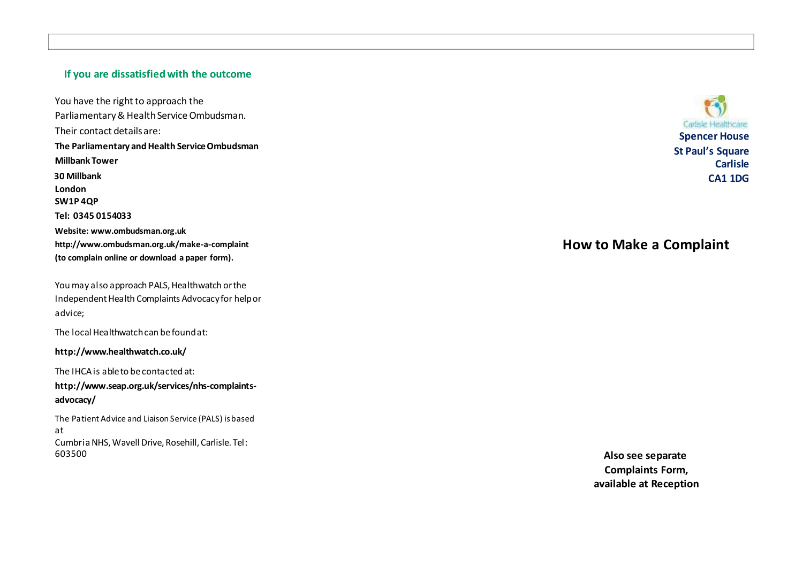# **If you are dissatisfiedwith the outcome**

You have the right to approach the Parliamentary & HealthServiceOmbudsman. Their contact detailsare: **The Parliamentary and Health Service Ombudsman Millbank Tower 30 Millbank London SW1P 4QP Tel: 0345 0154033 Website[: www.ombudsman.org.uk](http://www.ombudsman.org.uk/) [http://www.ombudsman.org.uk/make](http://www.ombudsman.org.uk/make-a-complaint) - a -complaint (to complain online or download a paper form).**

You may also approach PALS, Healthwatch or the Independent Health Complaints Advocacy for helpor advice;

The local Healthwatchcan befoundat:

**<http://www.healthwatch.co.uk/>**

The IHCA is able to be contacted at:

**[http://www.seap.org.uk/services/nhs](http://www.seap.org.uk/services/nhs-complaints-) -complaints advocacy/**

The Patient Advic e and Liaison Service (PALS) is based at CumbriaNHS,Wavell Drive, Rosehill, Carlisle. Tel: 603500

Carlisle Healthcare **Spencer House St Paul's Square Carlisle CA1 1DG**

# **How to Make a Complaint**

**Also see separate Complaints Form, available at Reception**